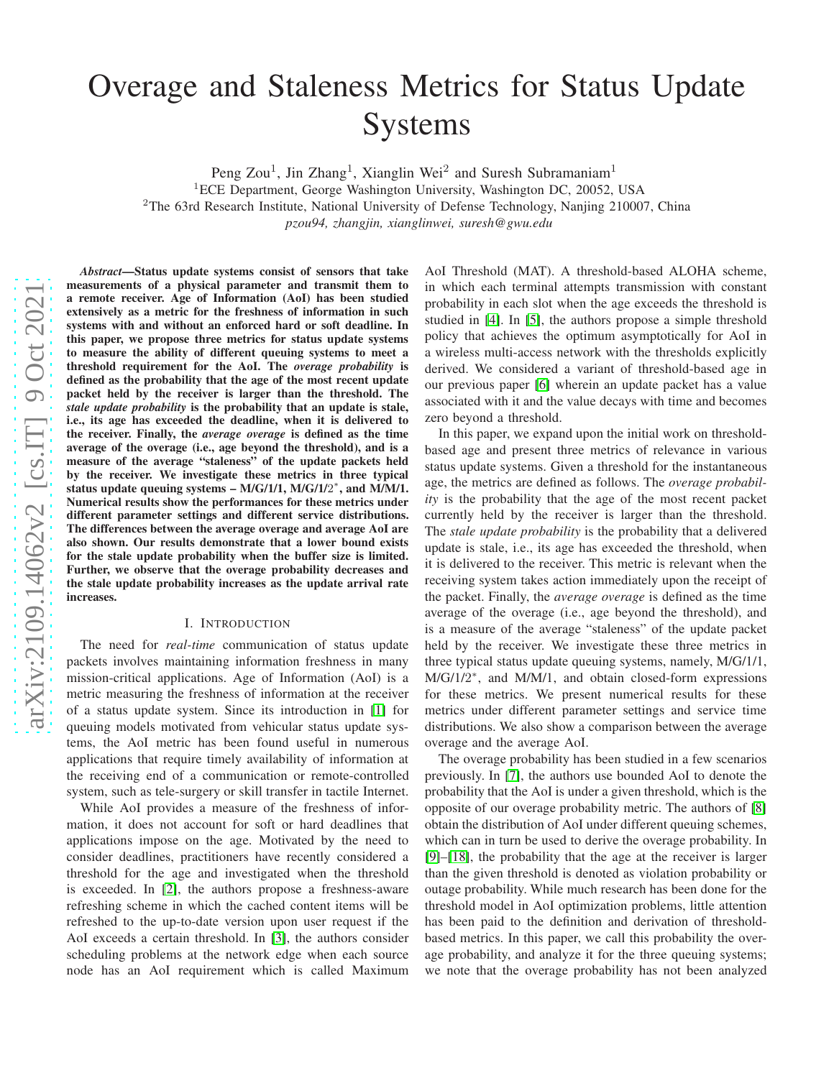# Overage and Staleness Metrics for Status Update Systems

Peng Zou<sup>1</sup>, Jin Zhang<sup>1</sup>, Xianglin Wei<sup>2</sup> and Suresh Subramaniam<sup>1</sup>

<sup>1</sup>ECE Department, George Washington University, Washington DC, 20052, USA <sup>2</sup>The 63rd Research Institute, National University of Defense Technology, Nanjing 210007, China

*pzou94, zhangjin, xianglinwei, suresh@gwu.edu*

*Abstract*—Status update systems consist of sensors that take measurements of a physical parameter and transmit them to a remote receiver. Age of Information (AoI) has been studied extensively as a metric for the freshness of information in such systems with and without an enforced hard or soft deadline. I n this paper, we propose three metrics for status update systems to measure the ability of different queuing systems to meet a threshold requirement for the AoI. The *overage probability* is defined as the probability that the age of the most recent update packet held by the receiver is larger than the threshold. The *stale update probability* is the probability that an update is stale, i.e., its age has exceeded the deadline, when it is delivered to the receiver. Finally, the *average overage* is defined as the time average of the overage (i.e., age beyond the threshold), and is a measure of the average "staleness" of the update packets hel d by the receiver. We investigate these metrics in three typical status update queuing systems – M/G/1/1, M/G/1/2<sup>\*</sup>, and M/M/1. Numerical results show the performances for these metrics under different parameter settings and different service distributions. The differences between the average overage and average AoI are also shown. Our results demonstrate that a lower bound exist s for the stale update probability when the buffer size is limited. Further, we observe that the overage probability decreases and the stale update probability increases as the update arrival rate increases.

#### I. INTRODUCTION

The need for *real-time* communication of status update packets involves maintaining information freshness in man y mission-critical applications. Age of Information (AoI) is a metric measuring the freshness of information at the receiver of a status update system. Since its introduction in [\[1\]](#page-7-0) for queuing models motivated from vehicular status update systems, the AoI metric has been found useful in numerous applications that require timely availability of information at the receiving end of a communication or remote-controlled system, such as tele-surgery or skill transfer in tactile Internet.

While AoI provides a measure of the freshness of information, it does not account for soft or hard deadlines that applications impose on the age. Motivated by the need to consider deadlines, practitioners have recently considered a threshold for the age and investigated when the threshold is exceeded. In [\[2\]](#page-7-1), the authors propose a freshness-aware refreshing scheme in which the cached content items will be refreshed to the up-to-date version upon user request if the AoI exceeds a certain threshold. In [\[3\]](#page-7-2), the authors conside r scheduling problems at the network edge when each source node has an AoI requirement which is called Maximum AoI Threshold (MAT). A threshold-based ALOHA scheme, in which each terminal attempts transmission with constant probability in each slot when the age exceeds the threshold i s studied in [\[4\]](#page-7-3). In [\[5\]](#page-7-4), the authors propose a simple threshol d policy that achieves the optimum asymptotically for AoI in a wireless multi-access network with the thresholds explicitly derived. We considered a variant of threshold-based age in our previous paper [\[6\]](#page-7-5) wherein an update packet has a value associated with it and the value decays with time and becomes zero beyond a threshold.

In this paper, we expand upon the initial work on thresholdbased age and present three metrics of relevance in various status update systems. Given a threshold for the instantaneous age, the metrics are defined as follows. The *overage probability* is the probability that the age of the most recent packet currently held by the receiver is larger than the threshold. The *stale update probability* is the probability that a delivered update is stale, i.e., its age has exceeded the threshold, when it is delivered to the receiver. This metric is relevant when the receiving system takes action immediately upon the receipt of the packet. Finally, the *average overage* is defined as the time average of the overage (i.e., age beyond the threshold), and is a measure of the average "staleness" of the update packet held by the receiver. We investigate these three metrics in three typical status update queuing systems, namely, M/G/1/1, M/G/1/2<sup>\*</sup>, and M/M/1, and obtain closed-form expressions for these metrics. We present numerical results for these metrics under different parameter settings and service tim e distributions. We also show a comparison between the averag e overage and the average AoI.

The overage probability has been studied in a few scenarios previously. In [\[7\]](#page-7-6), the authors use bounded AoI to denote the probability that the AoI is under a given threshold, which is the opposite of our overage probability metric. The authors of [\[8\]](#page-7-7) obtain the distribution of AoI under different queuing schemes, which can in turn be used to derive the overage probability. I n [\[9\]](#page-7-8)–[\[18\]](#page-7-9), the probability that the age at the receiver is larger than the given threshold is denoted as violation probability or outage probability. While much research has been done for th e threshold model in AoI optimization problems, little attention has been paid to the definition and derivation of thresholdbased metrics. In this paper, we call this probability the overage probability, and analyze it for the three queuing systems; we note that the overage probability has not been analyzed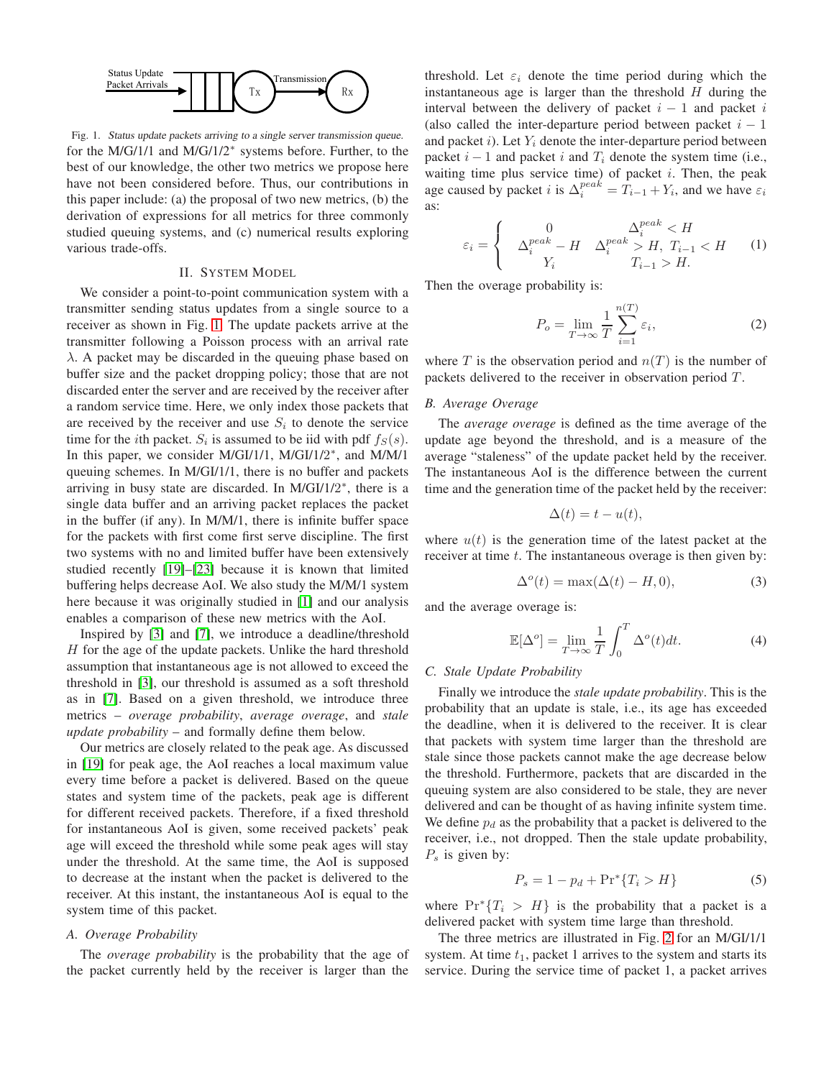

<span id="page-1-0"></span>Fig. 1. Status update packets arriving to <sup>a</sup> single server transmission queue. for the M/G/1/1 and M/G/1/2<sup>∗</sup> systems before. Further, to the best of our knowledge, the other two metrics we propose here have not been considered before. Thus, our contributions in this paper include: (a) the proposal of two new metrics, (b) the derivation of expressions for all metrics for three commonly studied queuing systems, and (c) numerical results exploring various trade-offs.

#### II. SYSTEM MODEL

We consider a point-to-point communication system with a transmitter sending status updates from a single source to a receiver as shown in Fig. [1.](#page-1-0) The update packets arrive at the transmitter following a Poisson process with an arrival rate λ. A packet may be discarded in the queuing phase based on buffer size and the packet dropping policy; those that are not discarded enter the server and are received by the receiver after a random service time. Here, we only index those packets that are received by the receiver and use  $S_i$  to denote the service time for the *i*th packet.  $S_i$  is assumed to be iid with pdf  $f_S(s)$ . In this paper, we consider M/GI/1/1, M/GI/1/2<sup>\*</sup>, and M/M/1 queuing schemes. In M/GI/1/1, there is no buffer and packets arriving in busy state are discarded. In M/GI/1/2\*, there is a single data buffer and an arriving packet replaces the packet in the buffer (if any). In M/M/1, there is infinite buffer space for the packets with first come first serve discipline. The first two systems with no and limited buffer have been extensively studied recently [\[19\]](#page-7-10)–[\[23\]](#page-7-11) because it is known that limited buffering helps decrease AoI. We also study the M/M/1 system here because it was originally studied in [\[1\]](#page-7-0) and our analysis enables a comparison of these new metrics with the AoI.

Inspired by [\[3\]](#page-7-2) and [\[7\]](#page-7-6), we introduce a deadline/threshold  $H$  for the age of the update packets. Unlike the hard threshold assumption that instantaneous age is not allowed to exceed the threshold in [\[3\]](#page-7-2), our threshold is assumed as a soft threshold as in [\[7\]](#page-7-6). Based on a given threshold, we introduce three metrics – *overage probability*, *average overage*, and *stale update probability* – and formally define them below.

Our metrics are closely related to the peak age. As discussed in [\[19\]](#page-7-10) for peak age, the AoI reaches a local maximum value every time before a packet is delivered. Based on the queue states and system time of the packets, peak age is different for different received packets. Therefore, if a fixed threshold for instantaneous AoI is given, some received packets' peak age will exceed the threshold while some peak ages will stay under the threshold. At the same time, the AoI is supposed to decrease at the instant when the packet is delivered to the receiver. At this instant, the instantaneous AoI is equal to the system time of this packet.

## *A. Overage Probability*

The *overage probability* is the probability that the age of the packet currently held by the receiver is larger than the threshold. Let  $\varepsilon_i$  denote the time period during which the instantaneous age is larger than the threshold  $H$  during the interval between the delivery of packet  $i - 1$  and packet i (also called the inter-departure period between packet  $i - 1$ and packet i). Let  $Y_i$  denote the inter-departure period between packet  $i - 1$  and packet i and  $T_i$  denote the system time (i.e., waiting time plus service time) of packet  $i$ . Then, the peak age caused by packet *i* is  $\Delta_i^{peak} = T_{i-1} + Y_i$ , and we have  $\varepsilon_i$ as:

$$
\varepsilon_i = \begin{cases}\n0 & \Delta_i^{peak} < H \\
\Delta_i^{peak} - H & \Delta_i^{peak} > H, \ T_{i-1} < H \\
Y_i & T_{i-1} > H.\n\end{cases}\n\tag{1}
$$

Then the overage probability is:

<span id="page-1-2"></span>
$$
P_o = \lim_{T \to \infty} \frac{1}{T} \sum_{i=1}^{n(T)} \varepsilon_i,
$$
 (2)

where T is the observation period and  $n(T)$  is the number of packets delivered to the receiver in observation period  $T$ .

## *B. Average Overage*

The *average overage* is defined as the time average of the update age beyond the threshold, and is a measure of the average "staleness" of the update packet held by the receiver. The instantaneous AoI is the difference between the current time and the generation time of the packet held by the receiver:

<span id="page-1-1"></span>
$$
\Delta(t) = t - u(t),
$$

where  $u(t)$  is the generation time of the latest packet at the receiver at time t. The instantaneous overage is then given by:

$$
\Delta^{o}(t) = \max(\Delta(t) - H, 0),\tag{3}
$$

and the average overage is:

$$
\mathbb{E}[\Delta^o] = \lim_{T \to \infty} \frac{1}{T} \int_0^T \Delta^o(t) dt.
$$
 (4)

#### *C. Stale Update Probability*

Finally we introduce the *stale update probability*. This is the probability that an update is stale, i.e., its age has exceeded the deadline, when it is delivered to the receiver. It is clear that packets with system time larger than the threshold are stale since those packets cannot make the age decrease below the threshold. Furthermore, packets that are discarded in the queuing system are also considered to be stale, they are never delivered and can be thought of as having infinite system time. We define  $p_d$  as the probability that a packet is delivered to the receiver, i.e., not dropped. Then the stale update probability,  $P_s$  is given by:

<span id="page-1-3"></span>
$$
P_s = 1 - p_d + \Pr^*\{T_i > H\} \tag{5}
$$

where  $Pr^*{T_i > H}$  is the probability that a packet is a delivered packet with system time large than threshold.

The three metrics are illustrated in Fig. [2](#page-2-0) for an M/GI/1/1 system. At time  $t_1$ , packet 1 arrives to the system and starts its service. During the service time of packet 1, a packet arrives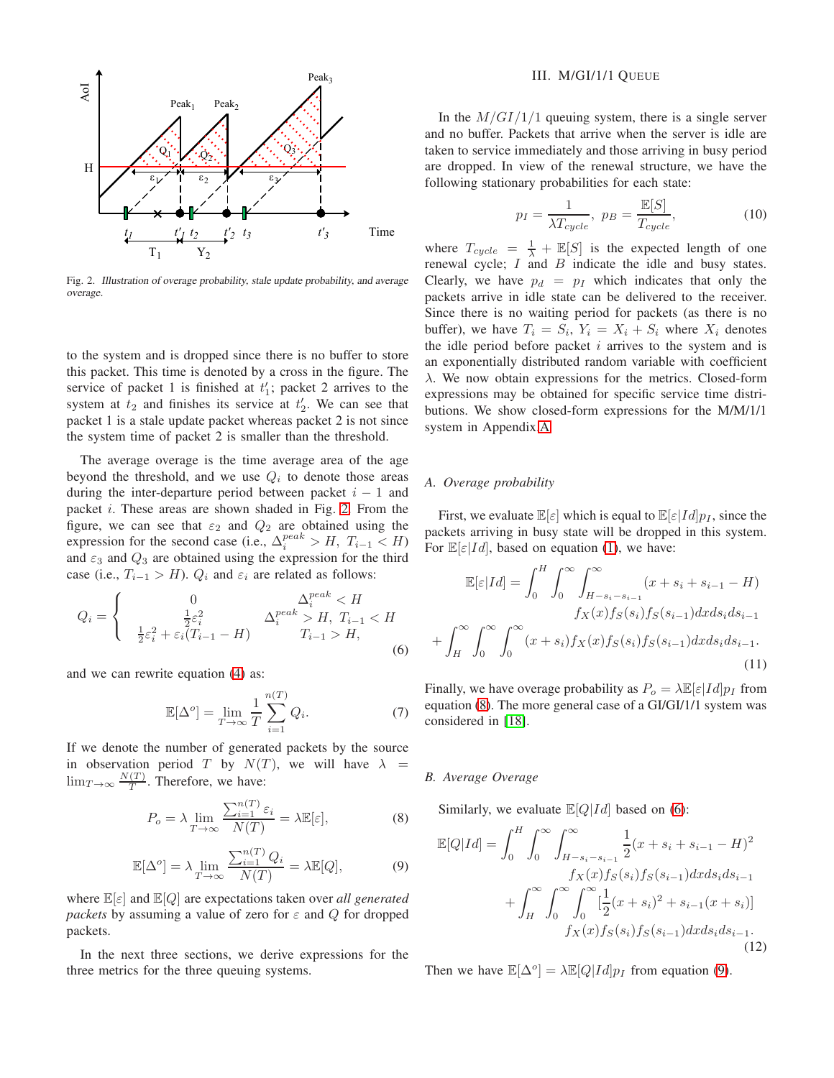

<span id="page-2-0"></span>Fig. 2. Illustration of overage probability, stale update probability, and average overage.

to the system and is dropped since there is no buffer to store this packet. This time is denoted by a cross in the figure. The service of packet 1 is finished at  $t_1$ ; packet 2 arrives to the system at  $t_2$  and finishes its service at  $t_2'$ . We can see that packet 1 is a stale update packet whereas packet 2 is not since the system time of packet 2 is smaller than the threshold.

The average overage is the time average area of the age beyond the threshold, and we use  $Q_i$  to denote those areas during the inter-departure period between packet  $i - 1$  and packet i. These areas are shown shaded in Fig. [2.](#page-2-0) From the figure, we can see that  $\varepsilon_2$  and  $Q_2$  are obtained using the expression for the second case (i.e.,  $\Delta_i^{peak} > H$ ,  $T_{i-1} < H$ ) and  $\varepsilon_3$  and  $Q_3$  are obtained using the expression for the third case (i.e.,  $T_{i-1} > H$ ).  $Q_i$  and  $\varepsilon_i$  are related as follows:

$$
Q_{i} = \begin{cases} 0 & \Delta_{i}^{peak} < H \\ \frac{1}{2}\varepsilon_{i}^{2} & \Delta_{i}^{peak} > H, T_{i-1} < H \\ \frac{1}{2}\varepsilon_{i}^{2} + \varepsilon_{i}(T_{i-1} - H) & T_{i-1} > H, \end{cases}
$$
(6)

and we can rewrite equation [\(4\)](#page-1-1) as:

$$
\mathbb{E}[\Delta^o] = \lim_{T \to \infty} \frac{1}{T} \sum_{i=1}^{n(T)} Q_i.
$$
 (7)

If we denote the number of generated packets by the source in observation period T by  $N(T)$ , we will have  $\lambda =$  $\lim_{T\to\infty}\frac{N(T)}{T}$  $\frac{(1)}{T}$ . Therefore, we have:

$$
P_o = \lambda \lim_{T \to \infty} \frac{\sum_{i=1}^{n(T)} \varepsilon_i}{N(T)} = \lambda \mathbb{E}[\varepsilon],\tag{8}
$$

$$
\mathbb{E}[\Delta^o] = \lambda \lim_{T \to \infty} \frac{\sum_{i=1}^{n(T)} Q_i}{N(T)} = \lambda \mathbb{E}[Q],\tag{9}
$$

where E[ε] and E[Q] are expectations taken over *all generated packets* by assuming a value of zero for  $\varepsilon$  and  $Q$  for dropped packets.

In the next three sections, we derive expressions for the three metrics for the three queuing systems.

### III. M/GI/1/1 QUEUE

In the  $M/GI/1/1$  queuing system, there is a single server and no buffer. Packets that arrive when the server is idle are taken to service immediately and those arriving in busy period are dropped. In view of the renewal structure, we have the following stationary probabilities for each state:

$$
p_I = \frac{1}{\lambda T_{cycle}}, \ p_B = \frac{\mathbb{E}[S]}{T_{cycle}}, \tag{10}
$$

where  $T_{cycle} = \frac{1}{\lambda} + \mathbb{E}[S]$  is the expected length of one renewal cycle;  $I$  and  $B$  indicate the idle and busy states. Clearly, we have  $p_d = p_I$  which indicates that only the packets arrive in idle state can be delivered to the receiver. Since there is no waiting period for packets (as there is no buffer), we have  $T_i = S_i$ ,  $Y_i = X_i + S_i$  where  $X_i$  denotes the idle period before packet  $i$  arrives to the system and is an exponentially distributed random variable with coefficient λ. We now obtain expressions for the metrics. Closed-form expressions may be obtained for specific service time distributions. We show closed-form expressions for the M/M/1/1 system in Appendix[.A.](#page-6-0)

#### *A. Overage probability*

First, we evaluate  $\mathbb{E}[\varepsilon]$  which is equal to  $\mathbb{E}[\varepsilon|Id]p_I$ , since the packets arriving in busy state will be dropped in this system. For  $\mathbb{E}[\varepsilon|Id]$ , based on equation [\(1\)](#page-1-2), we have:

$$
\mathbb{E}[\varepsilon|Id] = \int_0^H \int_0^\infty \int_{H-s_i-s_{i-1}}^\infty (x + s_i + s_{i-1} - H) \, f_X(x) f_S(s_i) f_S(s_{i-1}) dx ds_i ds_{i-1}
$$
\n
$$
- \int_H^\infty \int_0^\infty \int_0^\infty (x + s_i) f_X(x) f_S(s_i) f_S(s_{i-1}) dx ds_i ds_{i-1}.
$$
\n(11)

Finally, we have overage probability as  $P_o = \lambda \mathbb{E}[\varepsilon |Id] p_I$  from equation [\(8\)](#page-2-1). The more general case of a GI/GI/1/1 system was considered in [\[18\]](#page-7-9).

## *B. Average Overage*

<span id="page-2-4"></span><span id="page-2-2"></span> $^{+}$ 

<span id="page-2-1"></span>Similarly, we evaluate  $\mathbb{E}[Q|Id]$  based on [\(6\)](#page-2-2):

<span id="page-2-3"></span>
$$
\mathbb{E}[Q|Id] = \int_0^H \int_0^\infty \int_{H-s_i-s_{i-1}}^\infty \frac{1}{2} (x+s_i+s_{i-1} - H)^2
$$
  
\n
$$
f_X(x) f_S(s_i) f_S(s_{i-1}) dx ds_i ds_{i-1}
$$
  
\n
$$
+ \int_H^\infty \int_0^\infty \int_0^\infty \left[ \frac{1}{2} (x+s_i)^2 + s_{i-1} (x+s_i) \right]
$$
  
\n
$$
f_X(x) f_S(s_i) f_S(s_{i-1}) dx ds_i ds_{i-1}.
$$
\n(12)

<span id="page-2-5"></span>Then we have  $\mathbb{E}[\Delta^o] = \lambda \mathbb{E}[Q | Id] p_I$  from equation [\(9\)](#page-2-3).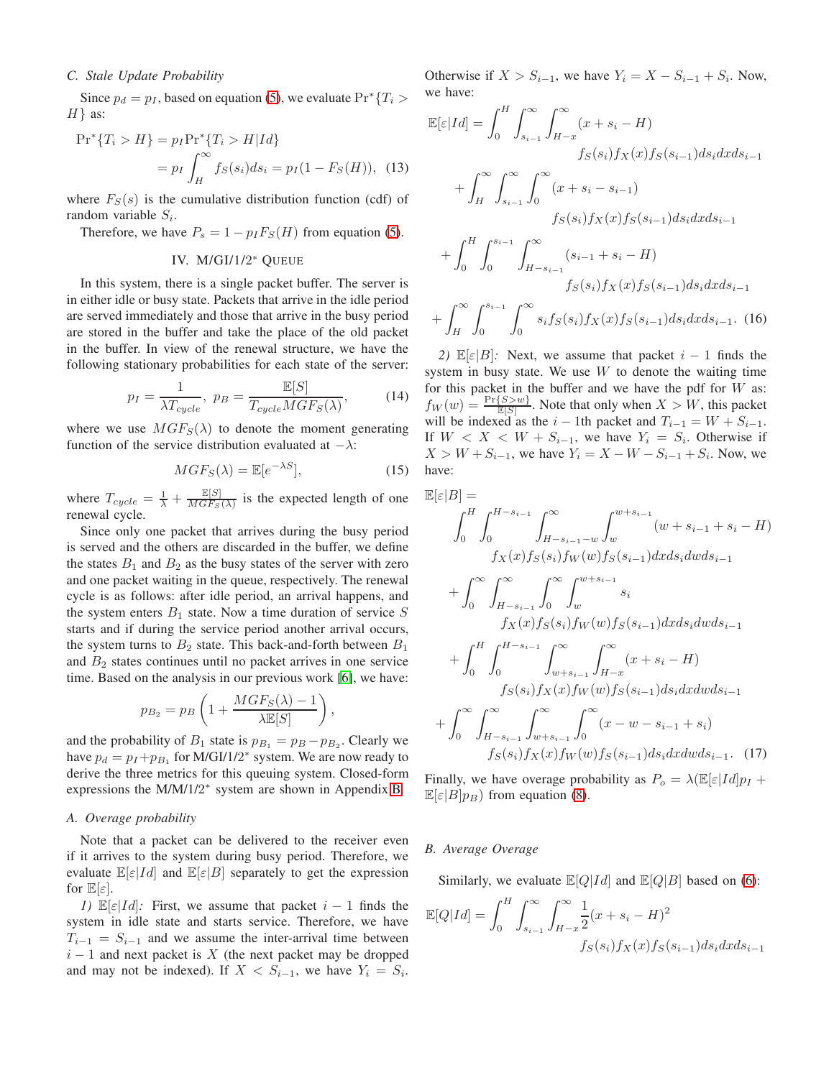## *C. Stale Update Probability*

Since  $p_d = p_I$ , based on equation [\(5\)](#page-1-3), we evaluate  $Pr^*{T_i} >$  $H$ } as:

$$
\Pr^*\{T_i > H\} = p_I \Pr^*\{T_i > H | Id\} \\
= p_I \int_H^\infty f_S(s_i) ds_i = p_I (1 - F_S(H)), \tag{13}
$$

where  $F_S(s)$  is the cumulative distribution function (cdf) of random variable  $S_i$ .

Therefore, we have  $P_s = 1 - p_I F_S(H)$  from equation [\(5\)](#page-1-3).

# IV. M/GI/1/2 <sup>∗</sup> QUEUE

In this system, there is a single packet buffer. The server is in either idle or busy state. Packets that arrive in the idle period are served immediately and those that arrive in the busy period are stored in the buffer and take the place of the old packet in the buffer. In view of the renewal structure, we have the following stationary probabilities for each state of the server:

$$
p_I = \frac{1}{\lambda T_{cycle}}, \ p_B = \frac{\mathbb{E}[S]}{T_{cycle} MGF_S(\lambda)},\tag{14}
$$

where we use  $MGF_S(\lambda)$  to denote the moment generating function of the service distribution evaluated at  $-\lambda$ :

$$
MGF_S(\lambda) = \mathbb{E}[e^{-\lambda S}],\tag{15}
$$

where  $T_{cycle} = \frac{1}{\lambda} + \frac{\mathbb{E}[S]}{MGF_S}$  $\frac{\mathbb{E}[S]}{MGFs(\lambda)}$  is the expected length of one renewal cycle.

Since only one packet that arrives during the busy period is served and the others are discarded in the buffer, we define the states  $B_1$  and  $B_2$  as the busy states of the server with zero and one packet waiting in the queue, respectively. The renewal cycle is as follows: after idle period, an arrival happens, and the system enters  $B_1$  state. Now a time duration of service S starts and if during the service period another arrival occurs, the system turns to  $B_2$  state. This back-and-forth between  $B_1$ and  $B_2$  states continues until no packet arrives in one service time. Based on the analysis in our previous work [\[6\]](#page-7-5), we have:

$$
p_{B_2} = p_B \left( 1 + \frac{MGF_S(\lambda) - 1}{\lambda \mathbb{E}[S]} \right),
$$

and the probability of  $B_1$  state is  $p_{B_1} = p_B - p_{B_2}$ . Clearly we have  $p_d = p_I + p_{B_1}$  for M/GI/1/2<sup>\*</sup> system. We are now ready to derive the three metrics for this queuing system. Closed-form expressions the M/M/1/2<sup>\*</sup> system are shown in Appendix[.B.](#page-6-1)

#### *A. Overage probability*

Note that a packet can be delivered to the receiver even if it arrives to the system during busy period. Therefore, we evaluate  $\mathbb{E}[\varepsilon|Id]$  and  $\mathbb{E}[\varepsilon|B]$  separately to get the expression for  $\mathbb{E}[\varepsilon]$ .

*1)*  $\mathbb{E}[\varepsilon|Id]$ : First, we assume that packet  $i - 1$  finds the system in idle state and starts service. Therefore, we have  $T_{i-1} = S_{i-1}$  and we assume the inter-arrival time between  $i - 1$  and next packet is X (the next packet may be dropped and may not be indexed). If  $X < S_{i-1}$ , we have  $Y_i = S_i$ .

Otherwise if  $X > S_{i-1}$ , we have  $Y_i = X - S_{i-1} + S_i$ . Now, we have:

$$
\mathbb{E}[\varepsilon|Id] = \int_0^H \int_{s_{i-1}}^{\infty} \int_{H-x}^{\infty} (x + s_i - H) \n\qquad f_S(s_i) f_X(x) f_S(s_{i-1}) ds_i dx ds_{i-1} \n+ \int_H^{\infty} \int_{s_{i-1}}^{\infty} \int_0^{\infty} (x + s_i - s_{i-1}) \n\qquad f_S(s_i) f_X(x) f_S(s_{i-1}) ds_i dx ds_{i-1} \n+ \int_0^H \int_0^{s_{i-1}} \int_{H-s_{i-1}}^{\infty} (s_{i-1} + s_i - H) \n\qquad f_S(s_i) f_X(x) f_S(s_{i-1}) ds_i dx ds_{i-1} \n+ \int_H^{\infty} \int_0^{s_{i-1}} \int_0^{\infty} s_i f_S(s_i) f_X(x) f_S(s_{i-1}) ds_i dx ds_{i-1}.
$$
 (16)

<span id="page-3-0"></span>*2)*  $\mathbb{E}[\varepsilon|B]$ : Next, we assume that packet  $i - 1$  finds the system in busy state. We use  $W$  to denote the waiting time for this packet in the buffer and we have the pdf for  $W$  as:  $f_W(w) = \frac{\Pr\{S > w\}}{\mathbb{E}[S]}$ . Note that only when  $X > W$ , this packet will be indexed as the  $i - 1$ th packet and  $T_{i-1} = W + S_{i-1}$ . If  $W < X < W + S_{i-1}$ , we have  $Y_i = S_i$ . Otherwise if  $X > W + S_{i-1}$ , we have  $Y_i = X - W - S_{i-1} + S_i$ . Now, we have:

$$
\mathbb{E}[\varepsilon|B] =
$$

$$
\int_{0}^{H} \int_{0}^{H-s_{i-1}} \int_{H-s_{i-1}-w}^{\infty} \int_{w}^{w+s_{i-1}} (w+s_{i-1}+s_i-H) \nf_X(x) f_S(s_i) f_W(w) f_S(s_{i-1}) dx ds_i dw ds_{i-1} \n+ \int_{0}^{\infty} \int_{H-s_{i-1}}^{\infty} \int_{0}^{\infty} \int_{w}^{w+s_{i-1}} s_i \nf_X(x) f_S(s_i) f_W(w) f_S(s_{i-1}) dx ds_i dw ds_{i-1} \n+ \int_{0}^{H} \int_{0}^{H-s_{i-1}} \int_{w+s_{i-1}}^{\infty} \int_{H-x}^{\infty} (x+s_i-H) \nf_S(s_i) f_X(x) f_W(w) f_S(s_{i-1}) ds_i dx dw ds_{i-1} \n+ \int_{0}^{\infty} \int_{H-s_{i-1}}^{\infty} \int_{w+s_{i-1}}^{\infty} \int_{0}^{\infty} (x-w-s_{i-1}+s_i) \nf_S(s_i) f_X(x) f_W(w) f_S(s_{i-1}) ds_i dx dw ds_{i-1}.
$$
 (17)

<span id="page-3-1"></span>Finally, we have overage probability as  $P_o = \lambda \mathbb{E}[\varepsilon |Id] p_I +$  $\mathbb{E}[\varepsilon|B]p_B$ ) from equation [\(8\)](#page-2-1).

#### *B. Average Overage*

Similarly, we evaluate  $\mathbb{E}[Q|Id]$  and  $\mathbb{E}[Q|B]$  based on [\(6\)](#page-2-2):

$$
\mathbb{E}[Q|Id] = \int_0^H \int_{s_{i-1}}^{\infty} \int_{H-x}^{\infty} \frac{1}{2} (x + s_i - H)^2
$$
  

$$
f_S(s_i) f_X(x) f_S(s_{i-1}) ds_i dx ds_{i-1}
$$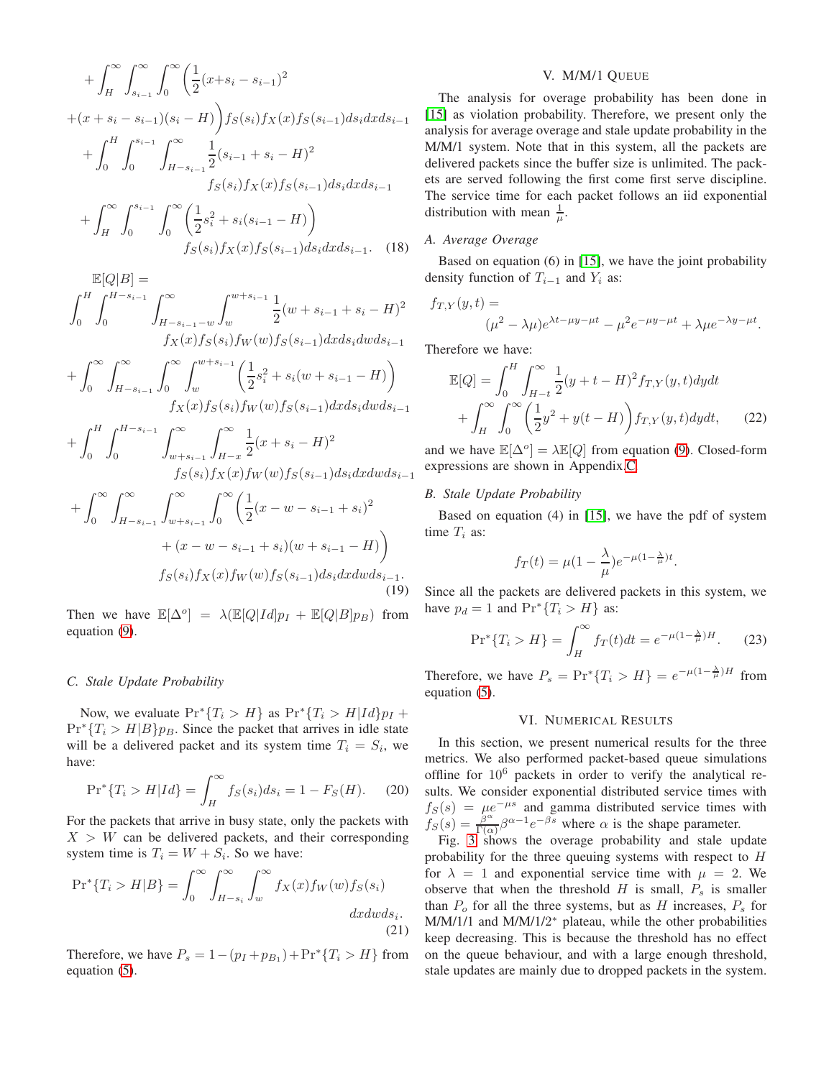$$
+\int_{H}^{\infty} \int_{s_{i-1}}^{\infty} \int_{0}^{\infty} \left(\frac{1}{2}(x+s_{i}-s_{i-1})^{2} + (x+s_{i}-s_{i-1})(s_{i}-H)\right) f_{S}(s_{i}) f_{X}(x) f_{S}(s_{i-1}) ds_{i} dx ds_{i-1} + \int_{0}^{H} \int_{0}^{s_{i-1}} \int_{H-s_{i-1}}^{\infty} \frac{1}{2}(s_{i-1}+s_{i}-H)^{2} f_{S}(s_{i}) f_{X}(x) f_{S}(s_{i-1}) ds_{i} dx ds_{i-1} + \int_{H}^{\infty} \int_{0}^{s_{i-1}} \int_{0}^{\infty} \left(\frac{1}{2}s_{i}^{2} + s_{i}(s_{i-1}-H)\right) f_{S}(s_{i}) f_{X}(x) f_{S}(s_{i-1}) ds_{i} dx ds_{i-1}.
$$
 (18)

$$
\mathbb{E}[Q|B] =
$$
\n
$$
\int_0^H \int_0^{H-s_{i-1}} \int_{H-s_{i-1}-w}^{\infty} \int_w^{w+s_{i-1}} \frac{1}{2} (w+s_{i-1}+s_i-H)^2
$$
\n
$$
f_X(x) f_S(s_i) f_W(w) f_S(s_{i-1}) dx ds_i dw ds_{i-1}
$$

$$
+\int_0^\infty \int_{H-s_{i-1}}^\infty \int_0^\infty \int_w^{w+s_{i-1}} \left(\frac{1}{2}s_i^2 + s_i(w+s_{i-1} - H)\right)
$$
  

$$
f_X(x) f_S(s_i) f_W(w) f_S(s_{i-1}) dx ds_i dw ds_{i-1}
$$

$$
+\int_{0}^{H} \int_{0}^{H-s_{i-1}} \int_{w+s_{i-1}}^{\infty} \int_{H-x}^{\infty} \frac{1}{2} (x+s_i - H)^2
$$
  

$$
f_S(s_i) f_X(x) f_W(w) f_S(s_{i-1}) ds_i dx dw ds_{i-1}
$$

$$
+\int_0^\infty \int_{H-s_{i-1}}^\infty \int_{w+s_{i-1}}^\infty \int_0^\infty \left(\frac{1}{2}(x-w-s_{i-1}+s_i)^2 + (x-w-s_{i-1}+s_i)(w+s_{i-1}-H)\right)
$$
  

$$
f_S(s_i)f_X(x)f_W(w)f_S(s_{i-1})ds_i dx dw ds_{i-1}.
$$
\n(19)

Then we have  $\mathbb{E}[\Delta^o] = \lambda(\mathbb{E}[Q|Id]p_I + \mathbb{E}[Q|B]p_B)$  from equation [\(9\)](#page-2-3).

### *C. Stale Update Probability*

Now, we evaluate  $Pr^*\{T_i > H\}$  as  $Pr^*\{T_i > H | Id\}$   $p_I$  +  $Pr<sup>*</sup>{T<sub>i</sub> > H|B}p<sub>B</sub>$ . Since the packet that arrives in idle state will be a delivered packet and its system time  $T_i = S_i$ , we have:

$$
Pr^*\{T_i > H | Id\} = \int_H^{\infty} f_S(s_i) ds_i = 1 - F_S(H). \tag{20}
$$

For the packets that arrive in busy state, only the packets with  $X > W$  can be delivered packets, and their corresponding system time is  $T_i = W + S_i$ . So we have:

$$
\Pr^*\{T_i > H|B\} = \int_0^\infty \int_{H-s_i}^\infty \int_w^\infty f_X(x) f_W(w) f_S(s_i) \, dx dw ds_i. \tag{21}
$$

Therefore, we have  $P_s = 1 - (p_I + p_{B_1}) + \Pr^* \{T_i > H\}$  from equation [\(5\)](#page-1-3).

## V. M/M/1 QUEUE

The analysis for overage probability has been done in [\[15\]](#page-7-12) as violation probability. Therefore, we present only the analysis for average overage and stale update probability in the M/M/1 system. Note that in this system, all the packets are delivered packets since the buffer size is unlimited. The packets are served following the first come first serve discipline. The service time for each packet follows an iid exponential distribution with mean  $\frac{1}{\mu}$ .

### <span id="page-4-0"></span>*A. Average Overage*

Based on equation (6) in [\[15\]](#page-7-12), we have the joint probability density function of  $T_{i-1}$  and  $Y_i$  as:

$$
f_{T,Y}(y,t) =
$$
  

$$
(\mu^2 - \lambda \mu)e^{\lambda t - \mu y - \mu t} - \mu^2 e^{-\mu y - \mu t} + \lambda \mu e^{-\lambda y - \mu t}.
$$

Therefore we have:

$$
\mathbb{E}[Q] = \int_0^H \int_{H-t}^{\infty} \frac{1}{2} (y + t - H)^2 f_{T,Y}(y, t) dy dt + \int_H^{\infty} \int_0^{\infty} \left( \frac{1}{2} y^2 + y(t - H) \right) f_{T,Y}(y, t) dy dt, \tag{22}
$$

and we have  $\mathbb{E}[\Delta^o] = \lambda \mathbb{E}[Q]$  from equation [\(9\)](#page-2-3). Closed-form expressions are shown in Appendix[.C.](#page-7-13)

# *B. Stale Update Probability*

Based on equation (4) in [\[15\]](#page-7-12), we have the pdf of system time  $T_i$  as:

<span id="page-4-3"></span>
$$
f_T(t) = \mu(1 - \frac{\lambda}{\mu})e^{-\mu(1 - \frac{\lambda}{\mu})t}.
$$

<span id="page-4-1"></span>Since all the packets are delivered packets in this system, we have  $p_d = 1$  and  $\Pr^* \{T_i > H\}$  as:

$$
\Pr^*\{T_i > H\} = \int_H^\infty f_T(t)dt = e^{-\mu(1 - \frac{\lambda}{\mu})H}.\tag{23}
$$

Therefore, we have  $P_s = \Pr^* \{ T_i > H \} = e^{-\mu (1 - \frac{\lambda}{\mu})H}$  from equation [\(5\)](#page-1-3).

## VI. NUMERICAL RESULTS

In this section, we present numerical results for the three metrics. We also performed packet-based queue simulations offline for  $10^6$  packets in order to verify the analytical results. We consider exponential distributed service times with  $f_S(s) = \mu e^{-\mu s}$  and gamma distributed service times with  $f_S(s) = \frac{\beta^{\alpha}}{\Gamma(\alpha)}$  $\frac{\beta^{\alpha}}{\Gamma(\alpha)}\beta^{\alpha-1}e^{-\beta s}$  where  $\alpha$  is the shape parameter.

<span id="page-4-2"></span>Fig. [3](#page-5-0) shows the overage probability and stale update probability for the three queuing systems with respect to H for  $\lambda = 1$  and exponential service time with  $\mu = 2$ . We observe that when the threshold  $H$  is small,  $P_s$  is smaller than  $P_0$  for all the three systems, but as H increases,  $P_s$  for M/M/1/1 and M/M/1/2<sup>\*</sup> plateau, while the other probabilities keep decreasing. This is because the threshold has no effect on the queue behaviour, and with a large enough threshold, stale updates are mainly due to dropped packets in the system.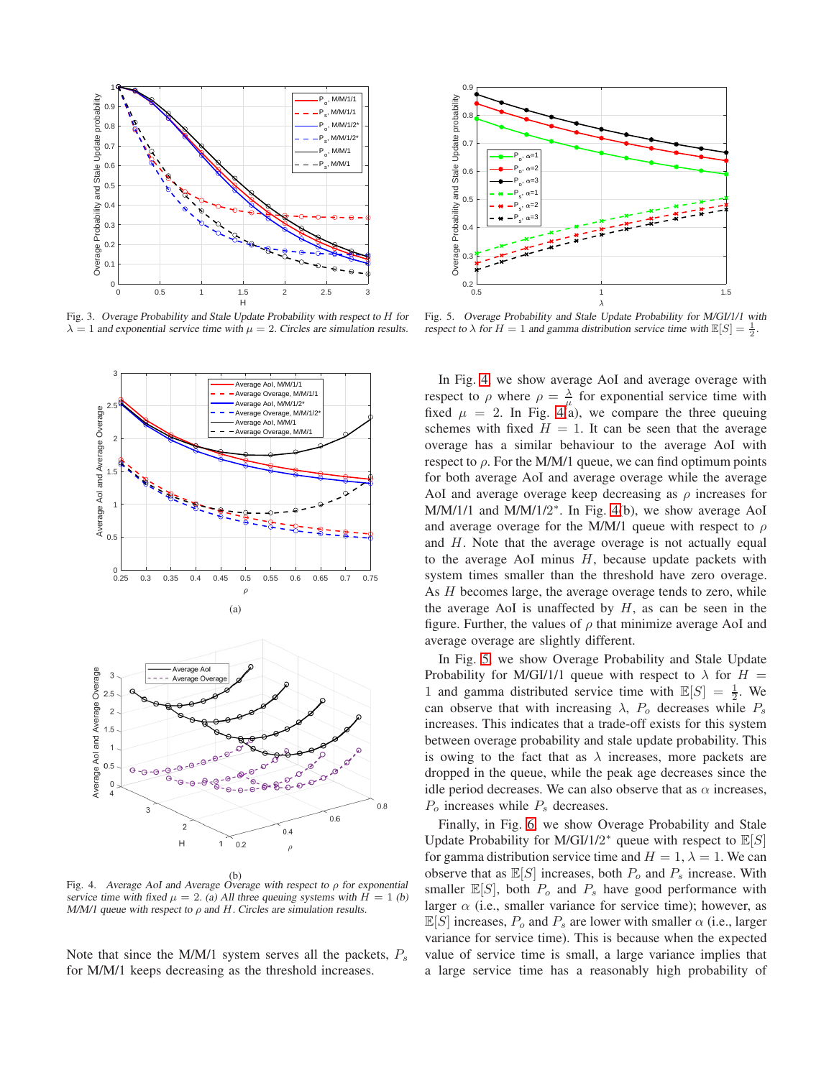

<span id="page-5-0"></span>Fig. 3. Overage Probability and Stale Update Probability with respect to H for  $\lambda = 1$  and exponential service time with  $\mu = 2$ . Circles are simulation results.



<span id="page-5-1"></span>Fig. 4. Average AoI and Average Overage with respect to  $\rho$  for exponential service time with fixed  $\mu = 2$ . (a) All three queuing systems with  $H = 1$  (b) M/M/1 queue with respect to  $\rho$  and  $H$ . Circles are simulation results.

Note that since the M/M/1 system serves all the packets,  $P_s$ for M/M/1 keeps decreasing as the threshold increases.



<span id="page-5-2"></span>Fig. 5. Overage Probability and Stale Update Probability for M/GI/1/1 with respect to  $\lambda$  for  $H = 1$  and gamma distribution service time with  $\mathbb{E}[S] = \frac{1}{2}$ .

In Fig. [4,](#page-5-1) we show average AoI and average overage with respect to  $\rho$  where  $\rho = \frac{\lambda}{\mu}$  for exponential service time with fixed  $\mu = 2$ . In Fig. [4\(](#page-5-1)a), we compare the three queuing schemes with fixed  $H = 1$ . It can be seen that the average overage has a similar behaviour to the average AoI with respect to  $\rho$ . For the M/M/1 queue, we can find optimum points for both average AoI and average overage while the average AoI and average overage keep decreasing as  $\rho$  increases for M/M/1/1 and M/M/1/2<sup>\*</sup>. In Fig. [4\(](#page-5-1)b), we show average AoI and average overage for the M/M/1 queue with respect to  $\rho$ and H. Note that the average overage is not actually equal to the average AoI minus  $H$ , because update packets with system times smaller than the threshold have zero overage. As H becomes large, the average overage tends to zero, while the average AoI is unaffected by  $H$ , as can be seen in the figure. Further, the values of  $\rho$  that minimize average AoI and average overage are slightly different.

In Fig. [5,](#page-5-2) we show Overage Probability and Stale Update Probability for M/GI/1/1 queue with respect to  $\lambda$  for  $H =$ 1 and gamma distributed service time with  $\mathbb{E}[S] = \frac{1}{2}$ . We can observe that with increasing  $\lambda$ ,  $P_o$  decreases while  $P_s$ increases. This indicates that a trade-off exists for this system between overage probability and stale update probability. This is owing to the fact that as  $\lambda$  increases, more packets are dropped in the queue, while the peak age decreases since the idle period decreases. We can also observe that as  $\alpha$  increases,  $P<sub>o</sub>$  increases while  $P<sub>s</sub>$  decreases.

Finally, in Fig. [6,](#page-6-2) we show Overage Probability and Stale Update Probability for M/GI/1/2<sup>\*</sup> queue with respect to  $\mathbb{E}[S]$ for gamma distribution service time and  $H = 1$ ,  $\lambda = 1$ . We can observe that as  $\mathbb{E}[S]$  increases, both  $P_o$  and  $P_s$  increase. With smaller  $\mathbb{E}[S]$ , both  $P_o$  and  $P_s$  have good performance with larger  $\alpha$  (i.e., smaller variance for service time); however, as  $\mathbb{E}[S]$  increases,  $P_0$  and  $P_s$  are lower with smaller  $\alpha$  (i.e., larger variance for service time). This is because when the expected value of service time is small, a large variance implies that a large service time has a reasonably high probability of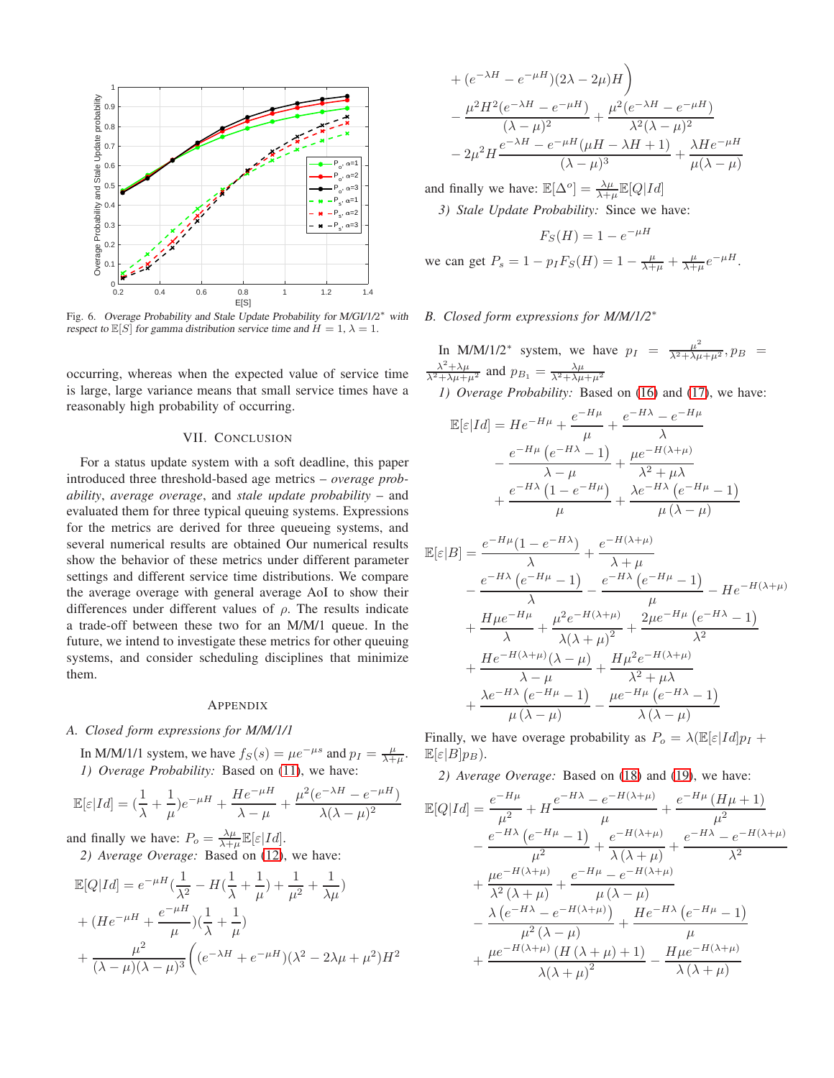

<span id="page-6-2"></span>Fig. 6. Overage Probability and Stale Update Probability for M/GI/1/2<sup>\*</sup> with respect to  $\mathbb{E}[S]$  for gamma distribution service time and  $H = 1$ ,  $\lambda = 1$ .

occurring, whereas when the expected value of service time is large, large variance means that small service times have a reasonably high probability of occurring.

#### VII. CONCLUSION

For a status update system with a soft deadline, this paper introduced three threshold-based age metrics – *overage probability*, *average overage*, and *stale update probability* – and evaluated them for three typical queuing systems. Expressions for the metrics are derived for three queueing systems, and several numerical results are obtained Our numerical results show the behavior of these metrics under different parameter settings and different service time distributions. We compare the average overage with general average AoI to show their differences under different values of  $\rho$ . The results indicate a trade-off between these two for an M/M/1 queue. In the future, we intend to investigate these metrics for other queuing systems, and consider scheduling disciplines that minimize them.

#### APPENDIX

#### <span id="page-6-0"></span>*A. Closed form expressions for M/M/1/1*

In M/M/1/1 system, we have  $f_S(s) = \mu e^{-\mu s}$  and  $p_I = \frac{\mu}{\lambda + \mu}$ . *1) Overage Probability:* Based on [\(11\)](#page-2-4), we have:

$$
\mathbb{E}[\varepsilon|Id] = \left(\frac{1}{\lambda} + \frac{1}{\mu}\right)e^{-\mu H} + \frac{He^{-\mu H}}{\lambda - \mu} + \frac{\mu^2(e^{-\lambda H} - e^{-\mu H})}{\lambda(\lambda - \mu)^2}
$$

and finally we have:  $P_o = \frac{\lambda \mu}{\lambda + \mu} \mathbb{E}[\varepsilon |Id].$ *2) Average Overage:* Based on [\(12\)](#page-2-5), we have:

$$
\mathbb{E}[Q|Id] = e^{-\mu H} \left(\frac{1}{\lambda^2} - H\left(\frac{1}{\lambda} + \frac{1}{\mu}\right) + \frac{1}{\mu^2} + \frac{1}{\lambda \mu}\right) + (He^{-\mu H} + \frac{e^{-\mu H}}{\mu})\left(\frac{1}{\lambda} + \frac{1}{\mu}\right) + \frac{\mu^2}{(\lambda - \mu)(\lambda - \mu)^3} \left( (e^{-\lambda H} + e^{-\mu H})(\lambda^2 - 2\lambda \mu + \mu^2)H^2 \right)
$$

+ 
$$
(e^{-\lambda H} - e^{-\mu H})(2\lambda - 2\mu)H
$$
  
\n $- \frac{\mu^2 H^2 (e^{-\lambda H} - e^{-\mu H})}{(\lambda - \mu)^2} + \frac{\mu^2 (e^{-\lambda H} - e^{-\mu H})}{\lambda^2 (\lambda - \mu)^2}$   
\n $- 2\mu^2 H \frac{e^{-\lambda H} - e^{-\mu H} (\mu H - \lambda H + 1)}{(\lambda - \mu)^3} + \frac{\lambda H e^{-\mu H}}{\mu (\lambda - \mu)}$ 

and finally we have:  $\mathbb{E}[\Delta^o] = \frac{\lambda \mu}{\lambda + \mu} \mathbb{E}[Q|Id]$ *3) Stale Update Probability:* Since we have:

$$
F_S(H) = 1 - e^{-\mu H}
$$

we can get  $P_s = 1 - p_I F_S(H) = 1 - \frac{\mu}{\lambda + \mu} + \frac{\mu}{\lambda + \mu} e^{-\mu H}$ .

## <span id="page-6-1"></span>*B. Closed form expressions for M/M/1/2*<sup>∗</sup>

In M/M/1/2<sup>\*</sup> system, we have  $p_I = \frac{\mu^2}{\lambda^2 + \lambda\mu + \mu^2}$ ,  $p_B = \frac{\lambda^2 + \lambda\mu}{\lambda^2 + \lambda\mu + \mu^2}$  and  $p_{B_1} = \frac{\lambda\mu}{\lambda^2 + \lambda\mu + \mu^2}$ 

*1) Overage Probability:* Based on [\(16\)](#page-3-0) and [\(17\)](#page-3-1), we have:

$$
\mathbb{E}[\varepsilon|Id] = He^{-H\mu} + \frac{e^{-H\mu}}{\mu} + \frac{e^{-H\lambda} - e^{-H\mu}}{\lambda} \n- \frac{e^{-H\mu} (e^{-H\lambda} - 1)}{\lambda - \mu} + \frac{\mu e^{-H(\lambda + \mu)}}{\lambda^2 + \mu\lambda} \n+ \frac{e^{-H\lambda} (1 - e^{-H\mu})}{\mu} + \frac{\lambda e^{-H\lambda} (e^{-H\mu} - 1)}{\mu (\lambda - \mu)}
$$

$$
\mathbb{E}[\varepsilon|B] = \frac{e^{-H\mu}(1 - e^{-H\lambda})}{\lambda} + \frac{e^{-H(\lambda+\mu)}}{\lambda+\mu} \n- \frac{e^{-H\lambda}(e^{-H\mu} - 1)}{\lambda} - \frac{e^{-H\lambda}(e^{-H\mu} - 1)}{\mu} - He^{-H(\lambda+\mu)} \n+ \frac{H\mu e^{-H\mu}}{\lambda} + \frac{\mu^2 e^{-H(\lambda+\mu)}}{\lambda(\lambda+\mu)^2} + \frac{2\mu e^{-H\mu}(e^{-H\lambda} - 1)}{\lambda^2} \n+ \frac{He^{-H(\lambda+\mu)}(\lambda-\mu)}{\lambda-\mu} + \frac{H\mu^2 e^{-H(\lambda+\mu)}}{\lambda^2+\mu\lambda} \n+ \frac{\lambda e^{-H\lambda}(e^{-H\mu} - 1)}{\mu(\lambda-\mu)} - \frac{\mu e^{-H\mu}(e^{-H\lambda} - 1)}{\lambda(\lambda-\mu)}
$$

Finally, we have overage probability as  $P_o = \lambda \left(\mathbb{E}[\varepsilon |Id]p_I + \mathbb{E}[\varepsilon |Id]p_I\right)$  $\mathbb{E}[\varepsilon|B]p_B).$ 

*2) Average Overage:* Based on [\(18\)](#page-4-0) and [\(19\)](#page-4-1), we have:

$$
\mathbb{E}[Q|Id] = \frac{e^{-H\mu}}{\mu^2} + H \frac{e^{-H\lambda} - e^{-H(\lambda+\mu)}}{\mu} + \frac{e^{-H\mu} (H\mu + 1)}{\mu^2}
$$

$$
- \frac{e^{-H\lambda} (e^{-H\mu} - 1)}{\mu^2} + \frac{e^{-H(\lambda+\mu)}}{\lambda(\lambda+\mu)} + \frac{e^{-H\lambda} - e^{-H(\lambda+\mu)}}{\lambda^2}
$$

$$
+ \frac{\mu e^{-H(\lambda+\mu)}}{\lambda^2(\lambda+\mu)} + \frac{e^{-H\mu} - e^{-H(\lambda+\mu)}}{\mu(\lambda-\mu)}
$$

$$
- \frac{\lambda (e^{-H\lambda} - e^{-H(\lambda+\mu)})}{\mu^2(\lambda-\mu)} + \frac{He^{-H\lambda} (e^{-H\mu} - 1)}{\mu}
$$

$$
+ \frac{\mu e^{-H(\lambda+\mu)} (H(\lambda+\mu)+1)}{\lambda(\lambda+\mu)^2} - \frac{H\mu e^{-H(\lambda+\mu)}}{\lambda(\lambda+\mu)}
$$